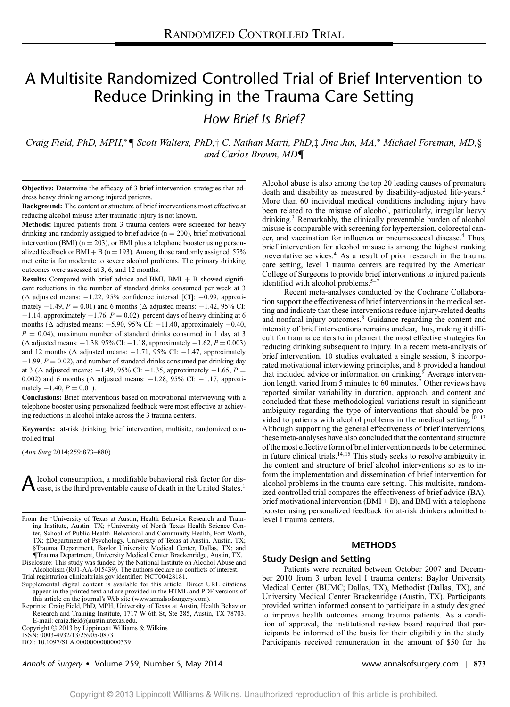# A Multisite Randomized Controlled Trial of Brief Intervention to Reduce Drinking in the Trauma Care Setting

*How Brief Is Brief?*

*Craig Field, PhD, MPH,*<sup>∗</sup>¶ *Scott Walters, PhD,*† *C. Nathan Marti, PhD,*‡ *Jina Jun, MA,*<sup>∗</sup> *Michael Foreman, MD,*§ *and Carlos Brown, MD*¶

**Objective:** Determine the efficacy of 3 brief intervention strategies that address heavy drinking among injured patients.

**Background:** The content or structure of brief interventions most effective at reducing alcohol misuse after traumatic injury is not known.

**Methods:** Injured patients from 3 trauma centers were screened for heavy drinking and randomly assigned to brief advice  $(n = 200)$ , brief motivational intervention (BMI) ( $n = 203$ ), or BMI plus a telephone booster using personalized feedback or BMI + B ( $n = 193$ ). Among those randomly assigned, 57% met criteria for moderate to severe alcohol problems. The primary drinking outcomes were assessed at 3, 6, and 12 months.

**Results:** Compared with brief advice and BMI, BMI + B showed significant reductions in the number of standard drinks consumed per week at 3 ( $\Delta$  adjusted means: −1.22, 95% confidence interval [CI]: −0.99, approximately  $-1.49$ ,  $P = 0.01$ ) and 6 months ( $\Delta$  adjusted means:  $-1.42$ , 95% CI:  $-1.14$ , approximately  $-1.76$ ,  $P = 0.02$ ), percent days of heavy drinking at 6 months ( $\Delta$  adjusted means: -5.90, 95% CI: -11.40, approximately -0.40,  $P = 0.04$ ), maximum number of standard drinks consumed in 1 day at 3 (∆ adjusted means: -1.38, 95% CI: -1.18, approximately -1.62, *P* = 0.003) and 12 months ( $\Delta$  adjusted means:  $-1.71$ , 95% CI:  $-1.47$ , approximately  $-1.99$ ,  $P = 0.02$ ), and number of standard drinks consumed per drinking day at 3 ( $\Delta$  adjusted means: −1.49, 95% CI: −1.35, approximately −1.65, *P* = 0.002) and 6 months ( $\Delta$  adjusted means:  $-1.28$ , 95% CI:  $-1.17$ , approximately  $-1.40, P = 0.01$ .

**Conclusions:** Brief interventions based on motivational interviewing with a telephone booster using personalized feedback were most effective at achieving reductions in alcohol intake across the 3 trauma centers.

**Keywords:** at-risk drinking, brief intervention, multisite, randomized controlled trial

(*Ann Surg* 2014;259:873–880)

 $\mathbf{A}$  lcohol consumption, a modifiable behavioral risk factor for dis-<br>ease, is the third preventable cause of death in the United States.<sup>1</sup>

From the <sup>∗</sup>University of Texas at Austin, Health Behavior Research and Training Institute, Austin, TX; †University of North Texas Health Science Center, School of Public Health–Behavioral and Community Health, Fort Worth, TX; ‡Department of Psychology, University of Texas at Austin, Austin, TX; §Trauma Department, Baylor University Medical Center, Dallas, TX; and

¶Trauma Department, University Medical Center Brackenridge, Austin, TX. Disclosure: This study was funded by the National Institute on Alcohol Abuse and

Alcoholism (R01-AA-015439). The authors declare no conflicts of interest. Trial registration clinicaltrials.gov identifier: NCT00428181.

Supplemental digital content is available for this article. Direct URL citations appear in the printed text and are provided in the HTML and PDF versions of this article on the journal's Web site [\(www.annalsofsurgery.com\)](http://www.annalsofsurgery.com).

Reprints: Craig Field, PhD, MPH, University of Texas at Austin, Health Behavior Research and Training Institute, 1717 W 6th St, Ste 285, Austin, TX 78703. E-mail: [craig.field@austin.utexas.edu.](mailto:craig.field@austin.utexas.edu)

Copyright <sup>C</sup> 2013 by Lippincott Williams & Wilkins

ISSN: 0003-4932/13/25905-0873

DOI: 10.1097/SLA.0000000000000339

*Annals of Surgery* - Volume 259, Number 5, May 2014 www.annalsofsurgery.com | **873**

Alcohol abuse is also among the top 20 leading causes of premature death and disability as measured by disability-adjusted life-years.<sup>2</sup> More than 60 individual medical conditions including injury have been related to the misuse of alcohol, particularly, irregular heavy drinking.<sup>3</sup> Remarkably, the clinically preventable burden of alcohol misuse is comparable with screening for hypertension, colorectal cancer, and vaccination for influenza or pneumococcal disease.<sup>4</sup> Thus, brief intervention for alcohol misuse is among the highest ranking preventative services.4 As a result of prior research in the trauma care setting, level 1 trauma centers are required by the American College of Surgeons to provide brief interventions to injured patients identified with alcohol problems. $5-7$ 

Recent meta-analyses conducted by the Cochrane Collaboration support the effectiveness of brief interventions in the medical setting and indicate that these interventions reduce injury-related deaths and nonfatal injury outcomes.8 Guidance regarding the content and intensity of brief interventions remains unclear, thus, making it difficult for trauma centers to implement the most effective strategies for reducing drinking subsequent to injury. In a recent meta-analysis of brief intervention, 10 studies evaluated a single session, 8 incorporated motivational interviewing principles, and 8 provided a handout that included advice or information on drinking.<sup>9</sup> Average intervention length varied from 5 minutes to 60 minutes.<sup>7</sup> Other reviews have reported similar variability in duration, approach, and content and concluded that these methodological variations result in significant ambiguity regarding the type of interventions that should be provided to patients with alcohol problems in the medical setting.<sup>10-13</sup> Although supporting the general effectiveness of brief interventions, these meta-analyses have also concluded that the content and structure of the most effective form of brief intervention needs to be determined in future clinical trials.<sup>14,15</sup> This study seeks to resolve ambiguity in the content and structure of brief alcohol interventions so as to inform the implementation and dissemination of brief intervention for alcohol problems in the trauma care setting. This multisite, randomized controlled trial compares the effectiveness of brief advice (BA), brief motivational intervention  $(BMI + B)$ , and BMI with a telephone booster using personalized feedback for at-risk drinkers admitted to level I trauma centers.

### **METHODS**

### **Study Design and Setting**

Patients were recruited between October 2007 and December 2010 from 3 urban level I trauma centers: Baylor University Medical Center (BUMC; Dallas, TX), Methodist (Dallas, TX), and University Medical Center Brackenridge (Austin, TX). Participants provided written informed consent to participate in a study designed to improve health outcomes among trauma patients. As a condition of approval, the institutional review board required that participants be informed of the basis for their eligibility in the study. Participants received remuneration in the amount of \$50 for the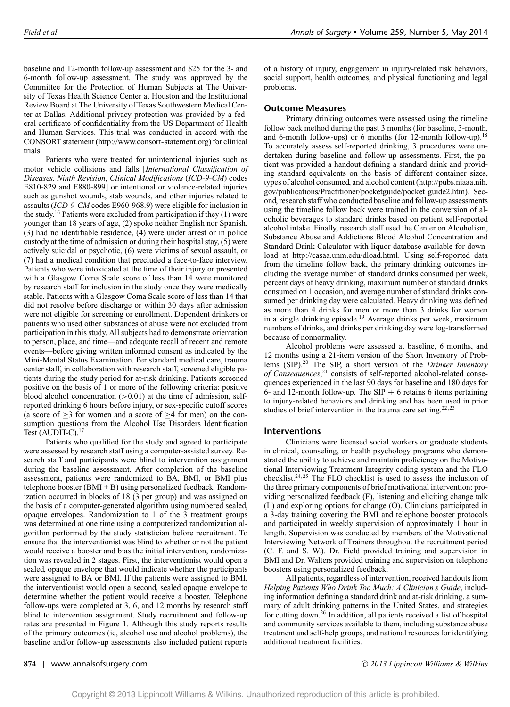baseline and 12-month follow-up assessment and \$25 for the 3- and 6-month follow-up assessment. The study was approved by the Committee for the Protection of Human Subjects at The University of Texas Health Science Center at Houston and the Institutional Review Board at The University of Texas Southwestern Medical Center at Dallas. Additional privacy protection was provided by a federal certificate of confidentiality from the US Department of Health and Human Services. This trial was conducted in accord with the CONSORT statement [\(http://www.consort-statement.org\)](http://www.consort-statement.org) for clinical trials.

Patients who were treated for unintentional injuries such as motor vehicle collisions and falls [*International Classification of Diseases, Ninth Revision*, *Clinical Modifications* (*ICD-9-CM*) codes E810-829 and E880-899] or intentional or violence-related injuries such as gunshot wounds, stab wounds, and other injuries related to assaults (*ICD-9-CM* codes E960-968.9) were eligible for inclusion in the study.<sup>16</sup> Patients were excluded from participation if they  $(1)$  were younger than 18 years of age, (2) spoke neither English nor Spanish, (3) had no identifiable residence, (4) were under arrest or in police custody at the time of admission or during their hospital stay, (5) were actively suicidal or psychotic, (6) were victims of sexual assault, or (7) had a medical condition that precluded a face-to-face interview. Patients who were intoxicated at the time of their injury or presented with a Glasgow Coma Scale score of less than 14 were monitored by research staff for inclusion in the study once they were medically stable. Patients with a Glasgow Coma Scale score of less than 14 that did not resolve before discharge or within 30 days after admission were not eligible for screening or enrollment. Dependent drinkers or patients who used other substances of abuse were not excluded from participation in this study. All subjects had to demonstrate orientation to person, place, and time—and adequate recall of recent and remote events—before giving written informed consent as indicated by the Mini-Mental Status Examination. Per standard medical care, trauma center staff, in collaboration with research staff, screened eligible patients during the study period for at-risk drinking. Patients screened positive on the basis of 1 or more of the following criteria: positive blood alcohol concentration  $(>0.01)$  at the time of admission, selfreported drinking 6 hours before injury, or sex-specific cutoff scores (a score of  $>$ 3 for women and a score of  $>$ 4 for men) on the consumption questions from the Alcohol Use Disorders Identification Test (AUDIT-C).17

Patients who qualified for the study and agreed to participate were assessed by research staff using a computer-assisted survey. Research staff and participants were blind to intervention assignment during the baseline assessment. After completion of the baseline assessment, patients were randomized to BA, BMI, or BMI plus telephone booster  $(BMI + B)$  using personalized feedback. Randomization occurred in blocks of 18 (3 per group) and was assigned on the basis of a computer-generated algorithm using numbered sealed, opaque envelopes. Randomization to 1 of the 3 treatment groups was determined at one time using a computerized randomization algorithm performed by the study statistician before recruitment. To ensure that the interventionist was blind to whether or not the patient would receive a booster and bias the initial intervention, randomization was revealed in 2 stages. First, the interventionist would open a sealed, opaque envelope that would indicate whether the participants were assigned to BA or BMI. If the patients were assigned to BMI, the interventionist would open a second, sealed opaque envelope to determine whether the patient would receive a booster. Telephone follow-ups were completed at 3, 6, and 12 months by research staff blind to intervention assignment. Study recruitment and follow-up rates are presented in Figure 1. Although this study reports results of the primary outcomes (ie, alcohol use and alcohol problems), the baseline and/or follow-up assessments also included patient reports

of a history of injury, engagement in injury-related risk behaviors, social support, health outcomes, and physical functioning and legal problems.

### **Outcome Measures**

Primary drinking outcomes were assessed using the timeline follow back method during the past 3 months (for baseline, 3-month, and 6-month follow-ups) or 6 months (for 12-month follow-up).<sup>18</sup> To accurately assess self-reported drinking, 3 procedures were undertaken during baseline and follow-up assessments. First, the patient was provided a handout defining a standard drink and providing standard equivalents on the basis of different container sizes, types of alcohol consumed, and alcohol content [\(http://pubs.niaaa.nih.](http://pubs.niaaa.nih.gov/publications/Practitioner/pocketguide/pocket_guide2.htm) [gov/publications/Practitioner/pocketguide/pocket](http://pubs.niaaa.nih.gov/publications/Practitioner/pocketguide/pocket_guide2.htm) guide2.htm). Second, research staff who conducted baseline and follow-up assessments using the timeline follow back were trained in the conversion of alcoholic beverages to standard drinks based on patient self-reported alcohol intake. Finally, research staff used the Center on Alcoholism, Substance Abuse and Addictions Blood Alcohol Concentration and Standard Drink Calculator with liquor database available for download at [http://casaa.unm.edu/dload.html.](http://casaa.unm.edu/dload.html) Using self-reported data from the timeline follow back, the primary drinking outcomes including the average number of standard drinks consumed per week, percent days of heavy drinking, maximum number of standard drinks consumed on 1 occasion, and average number of standard drinks consumed per drinking day were calculated. Heavy drinking was defined as more than 4 drinks for men or more than 3 drinks for women in a single drinking episode.<sup>19</sup> Average drinks per week, maximum numbers of drinks, and drinks per drinking day were log-transformed because of nonnormality.

Alcohol problems were assessed at baseline, 6 months, and 12 months using a 21-item version of the Short Inventory of Problems (SIP).20 The SIP, a short version of the *Drinker Inventory of Consequences*, <sup>21</sup> consists of self-reported alcohol-related consequences experienced in the last 90 days for baseline and 180 days for 6- and 12-month follow-up. The  $SIP + 6$  retains 6 items pertaining to injury-related behaviors and drinking and has been used in prior studies of brief intervention in the trauma care setting.<sup>22,23</sup>

### **Interventions**

Clinicians were licensed social workers or graduate students in clinical, counseling, or health psychology programs who demonstrated the ability to achieve and maintain proficiency on the Motivational Interviewing Treatment Integrity coding system and the FLO checklist. $24,25$  The FLO checklist is used to assess the inclusion of the three primary components of brief motivational intervention: providing personalized feedback (F), listening and eliciting change talk (L) and exploring options for change (O). Clinicians participated in a 3-day training covering the BMI and telephone booster protocols and participated in weekly supervision of approximately 1 hour in length. Supervision was conducted by members of the Motivational Interviewing Network of Trainers throughout the recruitment period (C. F. and S. W.). Dr. Field provided training and supervision in BMI and Dr. Walters provided training and supervision on telephone boosters using personalized feedback.

All patients, regardless of intervention, received handouts from *Helping Patients Who Drink Too Much: A Clinician's Guide*, including information defining a standard drink and at-risk drinking, a summary of adult drinking patterns in the United States, and strategies for cutting down.26 In addition, all patients received a list of hospital and community services available to them, including substance abuse treatment and self-help groups, and national resources for identifying additional treatment facilities.

**874** | www.annalsofsurgery.com <sup>C</sup> *2013 Lippincott Williams & Wilkins*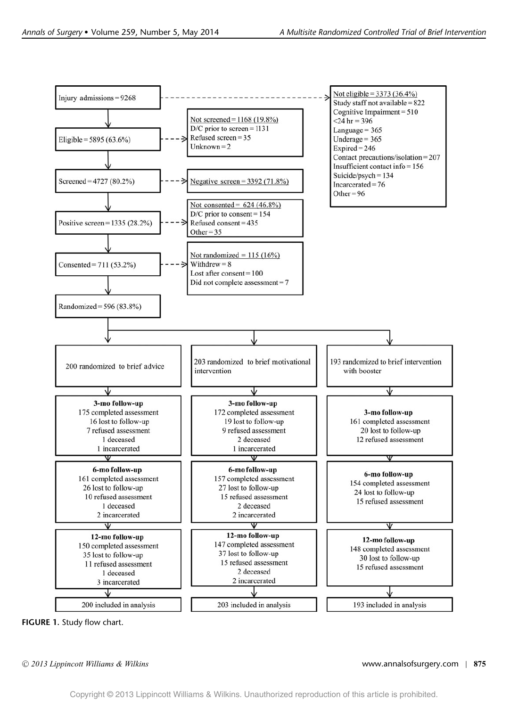

**FIGURE 1.** Study flow chart.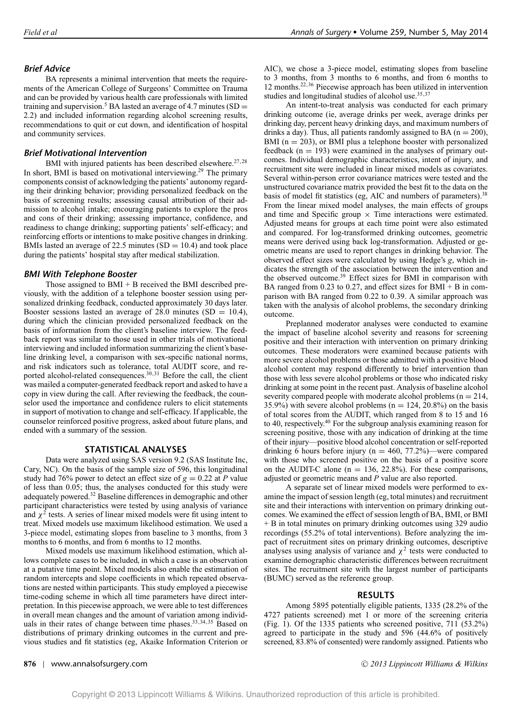# *Brief Advice*

BA represents a minimal intervention that meets the requirements of the American College of Surgeons' Committee on Trauma and can be provided by various health care professionals with limited training and supervision.<sup>5</sup> BA lasted an average of 4.7 minutes (SD = 2.2) and included information regarding alcohol screening results, recommendations to quit or cut down, and identification of hospital and community services.

# *Brief Motivational Intervention*

BMI with injured patients has been described elsewhere.<sup>27,28</sup> In short, BMI is based on motivational interviewing.<sup>29</sup> The primary components consist of acknowledging the patients' autonomy regarding their drinking behavior; providing personalized feedback on the basis of screening results; assessing causal attribution of their admission to alcohol intake; encouraging patients to explore the pros and cons of their drinking; assessing importance, confidence, and readiness to change drinking; supporting patients' self-efficacy; and reinforcing efforts or intentions to make positive changes in drinking. BMIs lasted an average of 22.5 minutes  $(SD = 10.4)$  and took place during the patients' hospital stay after medical stabilization.

# *BMI With Telephone Booster*

Those assigned to  $BMI + B$  received the BMI described previously, with the addition of a telephone booster session using personalized drinking feedback, conducted approximately 30 days later. Booster sessions lasted an average of 28.0 minutes (SD =  $10.4$ ), during which the clinician provided personalized feedback on the basis of information from the client's baseline interview. The feedback report was similar to those used in other trials of motivational interviewing and included information summarizing the client's baseline drinking level, a comparison with sex-specific national norms, and risk indicators such as tolerance, total AUDIT score, and reported alcohol-related consequences.<sup>30,31</sup> Before the call, the client was mailed a computer-generated feedback report and asked to have a copy in view during the call. After reviewing the feedback, the counselor used the importance and confidence rulers to elicit statements in support of motivation to change and self-efficacy. If applicable, the counselor reinforced positive progress, asked about future plans, and ended with a summary of the session.

### **STATISTICAL ANALYSES**

Data were analyzed using SAS version 9.2 (SAS Institute Inc, Cary, NC). On the basis of the sample size of 596, this longitudinal study had 76% power to detect an effect size of  $g = 0.22$  at P value of less than 0.05; thus, the analyses conducted for this study were adequately powered.32 Baseline differences in demographic and other participant characteristics were tested by using analysis of variance and  $\chi^2$  tests. A series of linear mixed models were fit using intent to treat. Mixed models use maximum likelihood estimation. We used a 3-piece model, estimating slopes from baseline to 3 months, from 3 months to 6 months, and from 6 months to 12 months.

Mixed models use maximum likelihood estimation, which allows complete cases to be included, in which a case is an observation at a putative time point. Mixed models also enable the estimation of random intercepts and slope coefficients in which repeated observations are nested within participants. This study employed a piecewise time-coding scheme in which all time parameters have direct interpretation. In this piecewise approach, we were able to test differences in overall mean changes and the amount of variation among individuals in their rates of change between time phases.<sup>33,34,35</sup> Based on distributions of primary drinking outcomes in the current and previous studies and fit statistics (eg, Akaike Information Criterion or

AIC), we chose a 3-piece model, estimating slopes from baseline to 3 months, from 3 months to 6 months, and from 6 months to 12 months.22,36 Piecewise approach has been utilized in intervention studies and longitudinal studies of alcohol use.<sup>35,37</sup>

An intent-to-treat analysis was conducted for each primary drinking outcome (ie, average drinks per week, average drinks per drinking day, percent heavy drinking days, and maximum numbers of drinks a day). Thus, all patients randomly assigned to BA  $(n = 200)$ , BMI ( $n = 203$ ), or BMI plus a telephone booster with personalized feedback  $(n = 193)$  were examined in the analyses of primary outcomes. Individual demographic characteristics, intent of injury, and recruitment site were included in linear mixed models as covariates. Several within-person error covariance matrices were tested and the unstructured covariance matrix provided the best fit to the data on the basis of model fit statistics (eg, AIC and numbers of parameters).<sup>38</sup> From the linear mixed model analyses, the main effects of groups and time and Specific group  $\times$  Time interactions were estimated. Adjusted means for groups at each time point were also estimated and compared. For log-transformed drinking outcomes, geometric means were derived using back log-transformation. Adjusted or geometric means are used to report changes in drinking behavior. The observed effect sizes were calculated by using Hedge's *g*, which indicates the strength of the association between the intervention and the observed outcome.<sup>39</sup> Effect sizes for BMI in comparison with BA ranged from 0.23 to 0.27, and effect sizes for BMI + B in comparison with BA ranged from 0.22 to 0.39. A similar approach was taken with the analysis of alcohol problems, the secondary drinking outcome.

Preplanned moderator analyses were conducted to examine the impact of baseline alcohol severity and reasons for screening positive and their interaction with intervention on primary drinking outcomes. These moderators were examined because patients with more severe alcohol problems or those admitted with a positive blood alcohol content may respond differently to brief intervention than those with less severe alcohol problems or those who indicated risky drinking at some point in the recent past. Analysis of baseline alcohol severity compared people with moderate alcohol problems  $(n = 214,$ 35.9%) with severe alcohol problems ( $n = 124, 20.8%$ ) on the basis of total scores from the AUDIT, which ranged from 8 to 15 and 16 to 40, respectively.40 For the subgroup analysis examining reason for screening positive, those with any indication of drinking at the time of their injury—positive blood alcohol concentration or self-reported drinking 6 hours before injury ( $n = 460, 77.2\%$ )—were compared with those who screened positive on the basis of a positive score on the AUDIT-C alone  $(n = 136, 22.8\%)$ . For these comparisons, adjusted or geometric means and *P* value are also reported.

A separate set of linear mixed models were performed to examine the impact of session length (eg, total minutes) and recruitment site and their interactions with intervention on primary drinking outcomes. We examined the effect of session length of BA, BMI, or BMI + B in total minutes on primary drinking outcomes using 329 audio recordings (55.2% of total interventions). Before analyzing the impact of recruitment sites on primary drinking outcomes, descriptive analyses using analysis of variance and  $\chi^2$  tests were conducted to examine demographic characteristic differences between recruitment sites. The recruitment site with the largest number of participants (BUMC) served as the reference group.

### **RESULTS**

Among 5895 potentially eligible patients, 1335 (28.2% of the 4727 patients screened) met 1 or more of the screening criteria (Fig. 1). Of the 1335 patients who screened positive, 711 (53.2%) agreed to participate in the study and 596 (44.6% of positively screened, 83.8% of consented) were randomly assigned. Patients who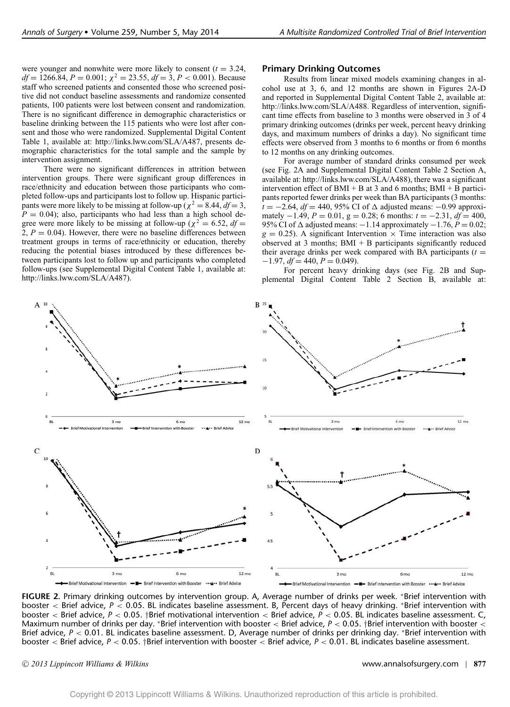were younger and nonwhite were more likely to consent  $(t = 3.24,$  $df = 1266.84, P = 0.001; \chi^2 = 23.55, df = 3, P < 0.001$ ). Because staff who screened patients and consented those who screened positive did not conduct baseline assessments and randomize consented patients, 100 patients were lost between consent and randomization. There is no significant difference in demographic characteristics or baseline drinking between the 115 patients who were lost after consent and those who were randomized. Supplemental Digital Content Table 1, available at: [http://links.lww.com/SLA/A487,](http://links.lww.com/SLA/A487) presents demographic characteristics for the total sample and the sample by intervention assignment.

There were no significant differences in attrition between intervention groups. There were significant group differences in race/ethnicity and education between those participants who completed follow-ups and participants lost to follow up. Hispanic participants were more likely to be missing at follow-up ( $\chi^2 = 8.44$ ,  $df = 3$ ,  $P = 0.04$ ); also, participants who had less than a high school degree were more likely to be missing at follow-up ( $\chi^2 = 6.52$ ,  $df =$  $2, P = 0.04$ ). However, there were no baseline differences between treatment groups in terms of race/ethnicity or education, thereby reducing the potential biases introduced by these differences between participants lost to follow up and participants who completed follow-ups (see Supplemental Digital Content Table 1, available at: [http://links.lww.com/SLA/A487\)](http://links.lww.com/SLA/A487).

### **Primary Drinking Outcomes**

Results from linear mixed models examining changes in alcohol use at 3, 6, and 12 months are shown in Figures 2A-D and reported in Supplemental Digital Content Table 2, available at: [http://links.lww.com/SLA/A488.](http://links.lww.com/SLA/A488) Regardless of intervention, significant time effects from baseline to 3 months were observed in 3 of 4 primary drinking outcomes (drinks per week, percent heavy drinking days, and maximum numbers of drinks a day). No significant time effects were observed from 3 months to 6 months or from 6 months to 12 months on any drinking outcomes.

For average number of standard drinks consumed per week (see Fig. 2A and Supplemental Digital Content Table 2 Section A, available at: [http://links.lww.com/SLA/A488\)](http://links.lww.com/SLA/A488), there was a significant intervention effect of  $BMI + B$  at 3 and 6 months;  $BMI + B$  participants reported fewer drinks per week than BA participants (3 months:  $t = -2.64$ ,  $df = 440$ , 95% CI of  $\Delta$  adjusted means: -0.99 approximately −1.49, *P* = 0.01, g = 0.28; 6 months: *t* = −2.31, *df* = 400, 95% CI of  $\Delta$  adjusted means:  $-1.14$  approximately  $-1.76$ ,  $P = 0.02$ ;  $g = 0.25$ ). A significant Intervention  $\times$  Time interaction was also observed at 3 months; BMI + B participants significantly reduced their average drinks per week compared with BA participants  $(t =$  $-1.97, df = 440, P = 0.049$ .

For percent heavy drinking days (see Fig. 2B and Supplemental Digital Content Table 2 Section B, available at:



**FIGURE 2.** Primary drinking outcomes by intervention group. A, Average number of drinks per week. <sup>∗</sup>Brief intervention with booster < Brief advice, *P* < 0.05. BL indicates baseline assessment. B, Percent days of heavy drinking. <sup>∗</sup>Brief intervention with booster < Brief advice, *P* < 0.05. †Brief motivational intervention < Brief advice, *P* < 0.05. BL indicates baseline assessment. C, Maximum number of drinks per day. <sup>∗</sup>Brief intervention with booster < Brief advice, *P* < 0.05. †Brief intervention with booster < Brief advice, *P* < 0.01. BL indicates baseline assessment. D, Average number of drinks per drinking day. <sup>∗</sup>Brief intervention with booster < Brief advice, *P* < 0.05. †Brief intervention with booster < Brief advice, *P* < 0.01. BL indicates baseline assessment.

### <sup>C</sup> *2013 Lippincott Williams & Wilkins* www.annalsofsurgery.com | **877**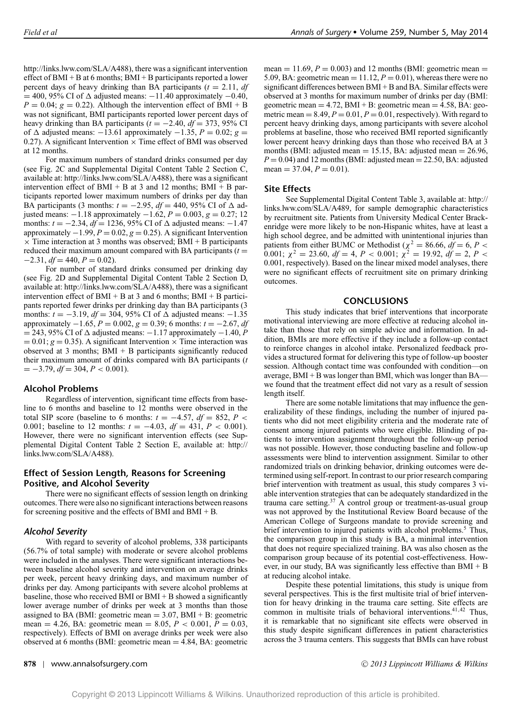[http://links.lww.com/SLA/A488\)](http://links.lww.com/SLA/A488), there was a significant intervention effect of  $BMI + B$  at 6 months;  $BMI + B$  participants reported a lower percent days of heavy drinking than BA participants  $(t = 2.11, df)$  $= 400, 95\%$  CI of  $\Delta$  adjusted means:  $-11.40$  approximately  $-0.40$ ,  $P = 0.04$ ;  $g = 0.22$ ). Although the intervention effect of BMI + B was not significant, BMI participants reported lower percent days of heavy drinking than BA participants  $(t = -2.40, df = 373, 95\% \text{ CI}$ of  $\triangle$  adjusted means: −13.61 approximately −1.35, *P* = 0.02; *g* = 0.27). A significant Intervention  $\times$  Time effect of BMI was observed at 12 months.

For maximum numbers of standard drinks consumed per day (see Fig. 2C and Supplemental Digital Content Table 2 Section C, available at: [http://links.lww.com/SLA/A488\)](http://links.lww.com/SLA/A488), there was a significant intervention effect of BMI + B at 3 and 12 months; BMI + B participants reported lower maximum numbers of drinks per day than BA participants (3 months:  $t = -2.95$ ,  $df = 440$ , 95% CI of  $\Delta$  adjusted means: −1.18 approximately −1.62, *P* = 0.003, *g* = 0.27; 12 months:  $t = -2.34$ ,  $df = 1236$ , 95% CI of  $\Delta$  adjusted means: -1.47 approximately  $-1.99$ ,  $P = 0.02$ ,  $g = 0.25$ ). A significant Intervention  $\times$  Time interaction at 3 months was observed; BMI + B participants reduced their maximum amount compared with BA participants  $(t =$  $-2.31, df = 440, P = 0.02$ .

For number of standard drinks consumed per drinking day (see Fig. 2D and Supplemental Digital Content Table 2 Section D, available at: [http://links.lww.com/SLA/A488\)](http://links.lww.com/SLA/A488), there was a significant intervention effect of  $BMI + B$  at 3 and 6 months;  $BMI + B$  participants reported fewer drinks per drinking day than BA participants (3 months:  $t = -3.19$ ,  $df = 304$ , 95% CI of  $\Delta$  adjusted means:  $-1.35$ approximately −1.65, *P* = 0.002, *g* = 0.39; 6 months: *t* = −2.67, *df*  $= 243,95\%$  CI of  $\Delta$  adjusted means:  $-1.17$  approximately  $-1.40$ , *P*  $= 0.01$ ;  $g = 0.35$ ). A significant Intervention  $\times$  Time interaction was observed at 3 months;  $BMI + B$  participants significantly reduced their maximum amount of drinks compared with BA participants (*t* = −3.79, *df* = 304, *P* < 0.001).

### **Alcohol Problems**

Regardless of intervention, significant time effects from baseline to 6 months and baseline to 12 months were observed in the total SIP score (baseline to 6 months:  $t = -4.57$ ,  $df = 852$ ,  $P <$ 0.001; baseline to 12 months:  $t = -4.03$ ,  $df = 431$ ,  $P < 0.001$ ). However, there were no significant intervention effects (see Supplemental Digital Content Table 2 Section E, available at: [http://](http://links.lww.com/SLA/A488) [links.lww.com/SLA/A488\)](http://links.lww.com/SLA/A488).

# **Effect of Session Length, Reasons for Screening Positive, and Alcohol Severity**

There were no significant effects of session length on drinking outcomes. There were also no significant interactions between reasons for screening positive and the effects of BMI and BMI + B.

### *Alcohol Severity*

With regard to severity of alcohol problems, 338 participants (56.7% of total sample) with moderate or severe alcohol problems were included in the analyses. There were significant interactions between baseline alcohol severity and intervention on average drinks per week, percent heavy drinking days, and maximum number of drinks per day. Among participants with severe alcohol problems at baseline, those who received BMI or BMI + B showed a significantly lower average number of drinks per week at 3 months than those assigned to BA (BMI: geometric mean  $= 3.07$ , BMI + B: geometric mean = 4.26, BA: geometric mean = 8.05,  $P < 0.001$ ,  $P = 0.03$ , respectively). Effects of BMI on average drinks per week were also observed at 6 months (BMI: geometric mean  $=$  4.84, BA: geometric

mean  $= 11.69$ ,  $P = 0.003$ ) and 12 months (BMI: geometric mean  $=$ 5.09, BA: geometric mean  $= 11.12, P = 0.01$ ), whereas there were no significant differences between BMI + B and BA. Similar effects were observed at 3 months for maximum number of drinks per day (BMI: geometric mean  $= 4.72$ , BMI + B: geometric mean  $= 4.58$ , BA: geometric mean  $= 8.49, P = 0.01, P = 0.01$ , respectively). With regard to percent heavy drinking days, among participants with severe alcohol problems at baseline, those who received BMI reported significantly lower percent heavy drinking days than those who received BA at 3 months (BMI: adjusted mean  $= 15.15$ , BA: adjusted mean  $= 26.96$ ,  $P = 0.04$ ) and 12 months (BMI: adjusted mean  $= 22.50$ , BA: adjusted mean =  $37.04, P = 0.01$ .

### **Site Effects**

See Supplemental Digital Content Table 3, available at: [http://](http://links.lww.com/SLA/A489) [links.lww.com/SLA/A489,](http://links.lww.com/SLA/A489) for sample demographic characteristics by recruitment site. Patients from University Medical Center Brackenridge were more likely to be non-Hispanic whites, have at least a high school degree, and be admitted with unintentional injuries than patients from either BUMC or Methodist ( $\chi^2 = 86.66$ ,  $df = 6$ ,  $P <$ 0.001;  $\chi^2 = 23.60$ ,  $df = 4$ ,  $P < 0.001$ ;  $\chi^2 = 19.92$ ,  $df = 2$ ,  $P <$ 0.001, respectively). Based on the linear mixed model analyses, there were no significant effects of recruitment site on primary drinking outcomes.

### **CONCLUSIONS**

This study indicates that brief interventions that incorporate motivational interviewing are more effective at reducing alcohol intake than those that rely on simple advice and information. In addition, BMIs are more effective if they include a follow-up contact to reinforce changes in alcohol intake. Personalized feedback provides a structured format for delivering this type of follow-up booster session. Although contact time was confounded with condition—on average, BMI + B was longer than BMI, which was longer than BA we found that the treatment effect did not vary as a result of session length itself.

There are some notable limitations that may influence the generalizability of these findings, including the number of injured patients who did not meet eligibility criteria and the moderate rate of consent among injured patients who were eligible. Blinding of patients to intervention assignment throughout the follow-up period was not possible. However, those conducting baseline and follow-up assessments were blind to intervention assignment. Similar to other randomized trials on drinking behavior, drinking outcomes were determined using self-report. In contrast to our prior research comparing brief intervention with treatment as usual, this study compares 3 viable intervention strategies that can be adequately standardized in the trauma care setting.<sup>37</sup> A control group or treatment-as-usual group was not approved by the Institutional Review Board because of the American College of Surgeons mandate to provide screening and brief intervention to injured patients with alcohol problems.<sup>5</sup> Thus, the comparison group in this study is BA, a minimal intervention that does not require specialized training. BA was also chosen as the comparison group because of its potential cost-effectiveness. However, in our study, BA was significantly less effective than  $BMI + B$ at reducing alcohol intake.

Despite these potential limitations, this study is unique from several perspectives. This is the first multisite trial of brief intervention for heavy drinking in the trauma care setting. Site effects are common in multisite trials of behavioral interventions.<sup>41,42</sup> Thus, it is remarkable that no significant site effects were observed in this study despite significant differences in patient characteristics across the 3 trauma centers. This suggests that BMIs can have robust

**878** | www.annalsofsurgery.com <sup>C</sup> *2013 Lippincott Williams & Wilkins*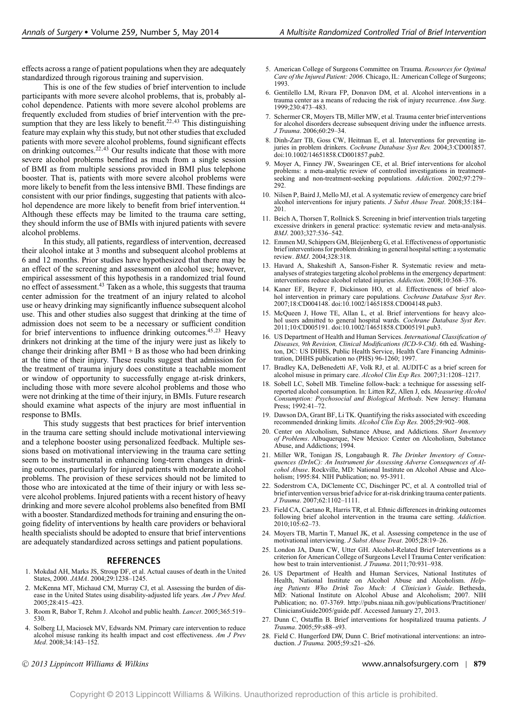effects across a range of patient populations when they are adequately standardized through rigorous training and supervision.

This is one of the few studies of brief intervention to include participants with more severe alcohol problems, that is, probably alcohol dependence. Patients with more severe alcohol problems are frequently excluded from studies of brief intervention with the presumption that they are less likely to benefit.<sup>22,43</sup> This distinguishing feature may explain why this study, but not other studies that excluded patients with more severe alcohol problems, found significant effects on drinking outcomes.<sup>22,43</sup> Our results indicate that those with more severe alcohol problems benefited as much from a single session of BMI as from multiple sessions provided in BMI plus telephone booster. That is, patients with more severe alcohol problems were more likely to benefit from the less intensive BMI. These findings are consistent with our prior findings, suggesting that patients with alcohol dependence are more likely to benefit from brief intervention.<sup>44</sup> Although these effects may be limited to the trauma care setting, they should inform the use of BMIs with injured patients with severe alcohol problems.

In this study, all patients, regardless of intervention, decreased their alcohol intake at 3 months and subsequent alcohol problems at 6 and 12 months. Prior studies have hypothesized that there may be an effect of the screening and assessment on alcohol use; however, empirical assessment of this hypothesis in a randomized trial found no effect of assessment.43 Taken as a whole, this suggests that trauma center admission for the treatment of an injury related to alcohol use or heavy drinking may significantly influence subsequent alcohol use. This and other studies also suggest that drinking at the time of admission does not seem to be a necessary or sufficient condition for brief interventions to influence drinking outcomes.<sup>45,23</sup> Heavy drinkers not drinking at the time of the injury were just as likely to change their drinking after  $BMI + B$  as those who had been drinking at the time of their injury. These results suggest that admission for the treatment of trauma injury does constitute a teachable moment or window of opportunity to successfully engage at-risk drinkers, including those with more severe alcohol problems and those who were not drinking at the time of their injury, in BMIs. Future research should examine what aspects of the injury are most influential in response to BMIs.

This study suggests that best practices for brief intervention in the trauma care setting should include motivational interviewing and a telephone booster using personalized feedback. Multiple sessions based on motivational interviewing in the trauma care setting seem to be instrumental in enhancing long-term changes in drinking outcomes, particularly for injured patients with moderate alcohol problems. The provision of these services should not be limited to those who are intoxicated at the time of their injury or with less severe alcohol problems. Injured patients with a recent history of heavy drinking and more severe alcohol problems also benefited from BMI with a booster. Standardized methods for training and ensuring the ongoing fidelity of interventions by health care providers or behavioral health specialists should be adopted to ensure that brief interventions are adequately standardized across settings and patient populations.

### **REFERENCES**

- 1. Mokdad AH, Marks JS, Stroup DF, et al. Actual causes of death in the United States, 2000. *JAMA*. 2004;29:1238–1245.
- 2. McKenna MT, Michaud CM, Murray CJ, et al. Assessing the burden of disease in the United States using disability-adjusted life years. *Am J Prev Med*. 2005;28:415–423.
- 3. Room R, Babor T, Rehm J. Alcohol and public health. *Lancet*. 2005;365:519– 530.
- 4. Solberg LI, Maciosek MV, Edwards NM. Primary care intervention to reduce alcohol misuse ranking its health impact and cost effectiveness. *Am J Prev Med*. 2008;34:143–152.
- 5. American College of Surgeons Committee on Trauma. *Resources for Optimal Care of the Injured Patient: 2006*. Chicago, IL: American College of Surgeons; 1993.
- 6. Gentilello LM, Rivara FP, Donavon DM, et al. Alcohol interventions in a trauma center as a means of reducing the risk of injury recurrence. *Ann Surg*. 1999;230:473–483.
- 7. Schermer CR, Moyers TB, Miller MW, et al. Trauma center brief interventions for alcohol disorders decrease subsequent driving under the influence arrests. *J Trauma*. 2006;60:29–34.
- 8. Dinh-Zarr TB, Goss CW, Heitman E, et al. Interventions for preventing injuries in problem drinkers. *Cochrane Database Syst Rev.* 2004;3:CD001857. doi:10.1002/14651858.CD001857.pub2.
- 9. Moyer A, Finney JW, Swearingen CE, et al. Brief interventions for alcohol problems: a meta-analytic review of controlled investigations in treatmentseeking and non-treatment-seeking populations. *Addiction*. 2002;97:279– 292.
- 10. Nilsen P, Baird J, Mello MJ, et al. A systematic review of emergency care brief alcohol interventions for injury patients. *J Subst Abuse Treat*. 2008;35:184– 201.
- 11. Beich A, Thorsen T, Rollnick S. Screening in brief intervention trials targeting excessive drinkers in general practice: systematic review and meta-analysis. *BMJ*. 2003;327:536–542.
- 12. Emmen MJ, Schippers GM, Bleijenberg G, et al. Effectiveness of opportunistic brief interventions for problem drinking in general hospital setting: a systematic review. *BMJ*. 2004;328:318.
- 13. Havard A, Shakeshift A, Sanson-Fisher R. Systematic review and metaanalyses of strategies targeting alcohol problems in the emergency department: interventions reduce alcohol related injuries. *Addiction*. 2008;10:368–376.
- 14. Kaner EF, Beyere F, Dickinson HO, et al. Effectiveness of brief alcohol intervention in primary care populations. *Cochrane Database Syst Rev*. 2007;18:CD004148. doi:10.1002/14651858.CD004148.pub3.
- 15. McQueen J, Howe TE, Allan L, et al. Brief interventions for heavy alcohol users admitted to general hospital wards. *Cochrane Database Syst Rev*. 2011;10:CD005191. doi:10.1002/14651858.CD005191.pub3.
- 16. US Department of Health and Human Services. *International Classification of Diseases, 9th Revision, Clinical Modifications (ICD-9-CM)*. 6th ed. Washington, DC: US DHHS, Public Health Service, Health Care Financing Administration, DHHS publication no (PHS) 96-1260; 1997.
- 17. Bradley KA, DeBenedetti AF, Volk RJ, et al. AUDIT-C as a brief screen for alcohol misuse in primary care. *Alcohol Clin Exp Res.* 2007;31:1208–1217.
- 18. Sobell LC, Sobell MB. Timeline follow-back: a technique for assessing selfreported alcohol consumption. In: Litten RZ, Allen J, eds. *Measuring Alcohol Consumption: Psychosocial and Biological Methods*. New Jersey: Humana Press; 1992:41–72.
- 19. Dawson DA, Grant BF, Li TK. Quantifying the risks associated with exceeding recommended drinking limits. *Alcohol Clin Exp Res.* 2005;29:902–908.
- 20. Center on Alcoholism, Substance Abuse, and Addictions. *Short Inventory of Problems*. Albuquerque, New Mexico: Center on Alcoholism, Substance Abuse, and Addictions; 1994.
- 21. Miller WR, Tonigan JS, Longabaugh R. *The Drinker Inventory of Consequences (DrInC): An Instrument for Assessing Adverse Consequences of Alcohol Abuse*. Rockville, MD: National Institute on Alcohol Abuse and Alcoholism; 1995:84. NIH Publication; no. 95-3911.
- 22. Soderstrom CA, DiClemente CC, Dischinger PC, et al. A controlled trial of brief intervention versus brief advice for at-risk drinking trauma center patients. *J Trauma*. 2007;62:1102–1111.
- 23. Field CA, Caetano R, Harris TR, et al. Ethnic differences in drinking outcomes following brief alcohol intervention in the trauma care setting. *Addiction*. 2010;105:62–73.
- 24. Moyers TB, Martin T, Manuel JK, et al. Assessing competence in the use of motivational interviewing. *J Subst Abuse Treat*. 2005;28:19–26.
- 25. London JA, Dunn CW, Utter GH. Alcohol-Related Brief Interventions as a criterion for American College of Surgeons Level I Trauma Center verification: how best to train interventionist. *J Trauma*. 2011;70:931–938.
- 26. US Department of Health and Human Services, National Institutes of Health, National Institute on Alcohol Abuse and Alcoholism. *Help-ing Patients Who Drink Too Much: A Clinician's Guide*. Bethesda, MD: National Institute on Alcohol Abuse and Alcoholism; 2007. NIH Publication; no. 07-3769. [http://pubs.niaaa.nih.gov/publications/Practitioner/](http://pubs.niaaa.nih.gov/publications/Practitioner/CliniciansGuide2005/guide.pdf) [CliniciansGuide2005/guide.pdf.](http://pubs.niaaa.nih.gov/publications/Practitioner/CliniciansGuide2005/guide.pdf) Accessed January 27, 2013.
- 27. Dunn C, Ostaffin B. Brief interventions for hospitalized trauma patients. *J Trauma*. 2005;59:s88–s93.
- 28. Field C. Hungerford DW, Dunn C. Brief motivational interventions: an introduction. *J Trauma.* 2005;59:s21–s26.

<sup>C</sup> *2013 Lippincott Williams & Wilkins* www.annalsofsurgery.com | **879**